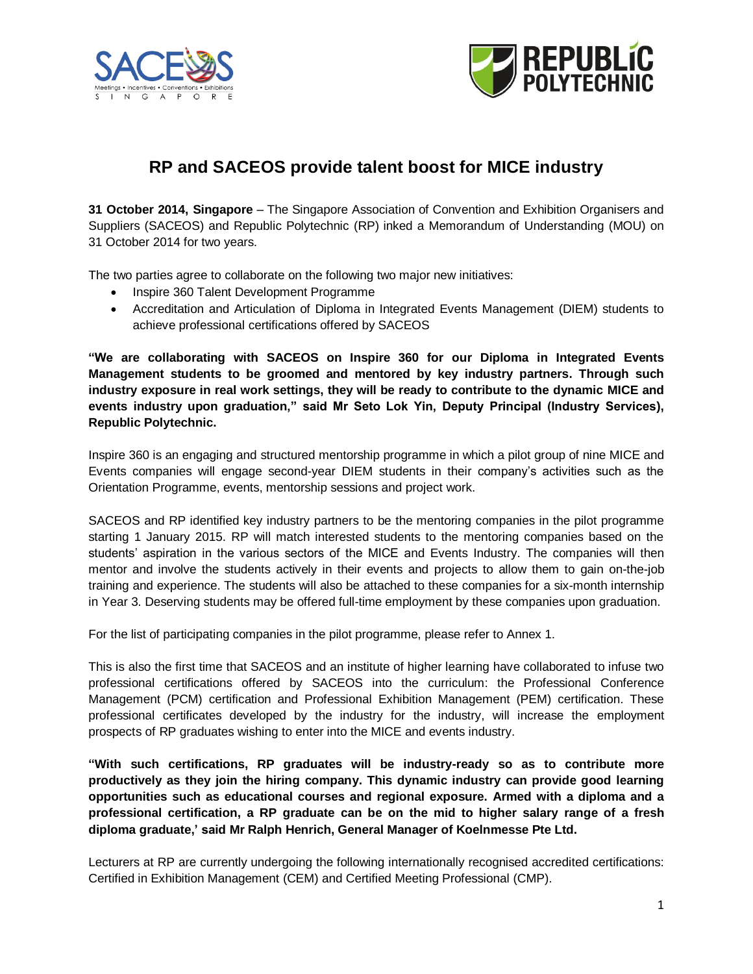



# **RP and SACEOS provide talent boost for MICE industry**

**31 October 2014, Singapore** – The Singapore Association of Convention and Exhibition Organisers and Suppliers (SACEOS) and Republic Polytechnic (RP) inked a Memorandum of Understanding (MOU) on 31 October 2014 for two years.

The two parties agree to collaborate on the following two major new initiatives:

- Inspire 360 Talent Development Programme
- Accreditation and Articulation of Diploma in Integrated Events Management (DIEM) students to achieve professional certifications offered by SACEOS

**"We are collaborating with SACEOS on Inspire 360 for our Diploma in Integrated Events Management students to be groomed and mentored by key industry partners. Through such industry exposure in real work settings, they will be ready to contribute to the dynamic MICE and events industry upon graduation," said Mr Seto Lok Yin, Deputy Principal (Industry Services), Republic Polytechnic.**

Inspire 360 is an engaging and structured mentorship programme in which a pilot group of nine MICE and Events companies will engage second-year DIEM students in their company's activities such as the Orientation Programme, events, mentorship sessions and project work.

SACEOS and RP identified key industry partners to be the mentoring companies in the pilot programme starting 1 January 2015. RP will match interested students to the mentoring companies based on the students' aspiration in the various sectors of the MICE and Events Industry. The companies will then mentor and involve the students actively in their events and projects to allow them to gain on-the-job training and experience. The students will also be attached to these companies for a six-month internship in Year 3. Deserving students may be offered full-time employment by these companies upon graduation.

For the list of participating companies in the pilot programme, please refer to Annex 1.

This is also the first time that SACEOS and an institute of higher learning have collaborated to infuse two professional certifications offered by SACEOS into the curriculum: the Professional Conference Management (PCM) certification and Professional Exhibition Management (PEM) certification. These professional certificates developed by the industry for the industry, will increase the employment prospects of RP graduates wishing to enter into the MICE and events industry.

**"With such certifications, RP graduates will be industry-ready so as to contribute more productively as they join the hiring company. This dynamic industry can provide good learning opportunities such as educational courses and regional exposure. Armed with a diploma and a professional certification, a RP graduate can be on the mid to higher salary range of a fresh diploma graduate,' said Mr Ralph Henrich, General Manager of Koelnmesse Pte Ltd.** 

Lecturers at RP are currently undergoing the following internationally recognised accredited certifications: Certified in Exhibition Management (CEM) and Certified Meeting Professional (CMP).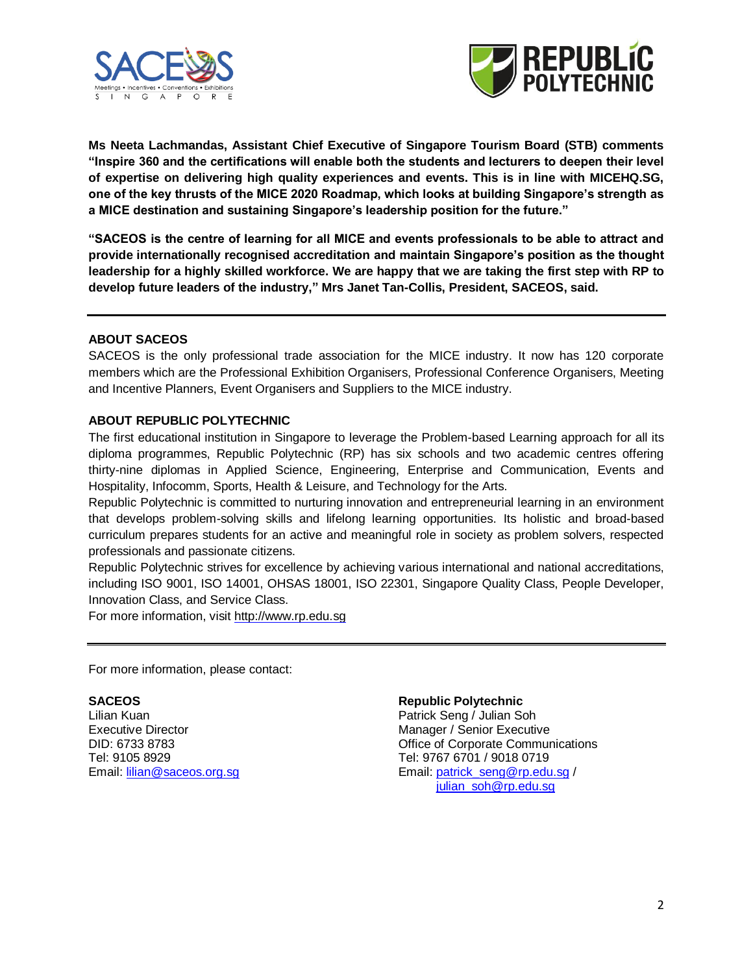



**Ms Neeta Lachmandas, Assistant Chief Executive of Singapore Tourism Board (STB) comments "Inspire 360 and the certifications will enable both the students and lecturers to deepen their level of expertise on delivering high quality experiences and events. This is in line with MICEHQ.SG, one of the key thrusts of the MICE 2020 Roadmap, which looks at building Singapore's strength as a MICE destination and sustaining Singapore's leadership position for the future."**

**"SACEOS is the centre of learning for all MICE and events professionals to be able to attract and provide internationally recognised accreditation and maintain Singapore's position as the thought leadership for a highly skilled workforce. We are happy that we are taking the first step with RP to develop future leaders of the industry," Mrs Janet Tan-Collis, President, SACEOS, said.** 

## **ABOUT SACEOS**

SACEOS is the only professional trade association for the MICE industry. It now has 120 corporate members which are the Professional Exhibition Organisers, Professional Conference Organisers, Meeting and Incentive Planners, Event Organisers and Suppliers to the MICE industry.

# **ABOUT REPUBLIC POLYTECHNIC**

The first educational institution in Singapore to leverage the Problem-based Learning approach for all its diploma programmes, Republic Polytechnic (RP) has six schools and two academic centres offering thirty-nine diplomas in Applied Science, Engineering, Enterprise and Communication, Events and Hospitality, Infocomm, Sports, Health & Leisure, and Technology for the Arts.

Republic Polytechnic is committed to nurturing innovation and entrepreneurial learning in an environment that develops problem-solving skills and lifelong learning opportunities. Its holistic and broad-based curriculum prepares students for an active and meaningful role in society as problem solvers, respected professionals and passionate citizens.

Republic Polytechnic strives for excellence by achieving various international and national accreditations, including ISO 9001, ISO 14001, OHSAS 18001, ISO 22301, Singapore Quality Class, People Developer, Innovation Class, and Service Class.

For more information, visit [http://www.rp.edu.sg](http://www.rp.edu.sg/)

For more information, please contact:

Executive Director **Manager** / Senior Executive Tel: 9105 8929 Tel: 9767 6701 / 9018 0719

### **SACEOS Republic Polytechnic**

Lilian KuanPatrick Seng / Julian Soh DID: 6733 8783 Office of Corporate Communications Email[: lilian@saceos.org.sg](mailto:lilian@saceos.org.sg) entitled by Email[: patrick\\_seng@rp.edu.sg](mailto:patrick_seng@rp.edu.sg) / [julian\\_soh@rp.edu.sg](mailto:julian_soh@rp.edu.sg)